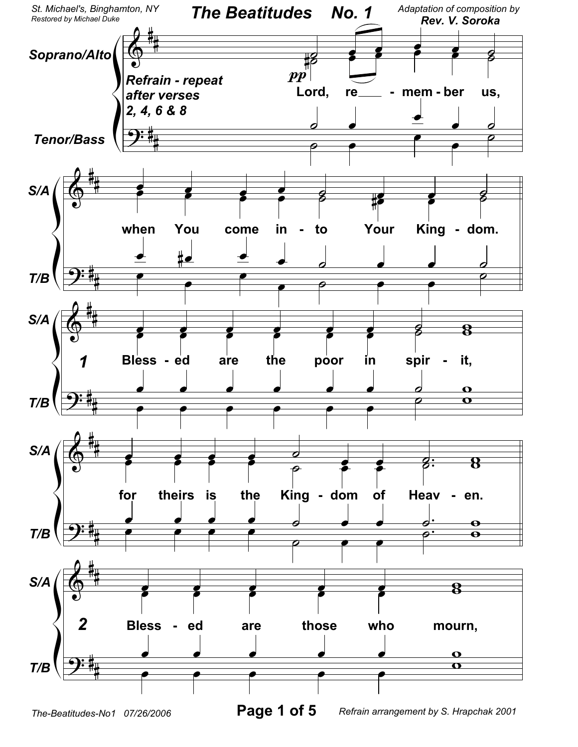

*The-Beatitudes-No1 07/26/2006* **Page 1 of 5**

*Refrain arrangement by S. Hrapchak 2001*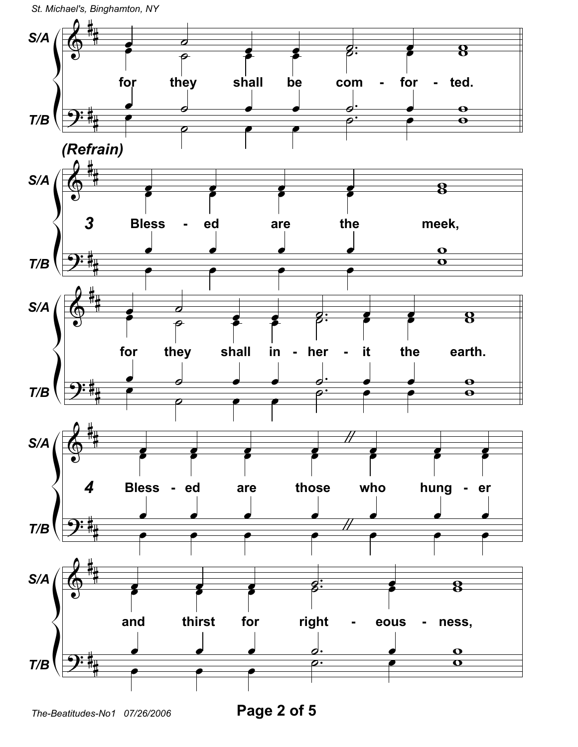

Page 2 of 5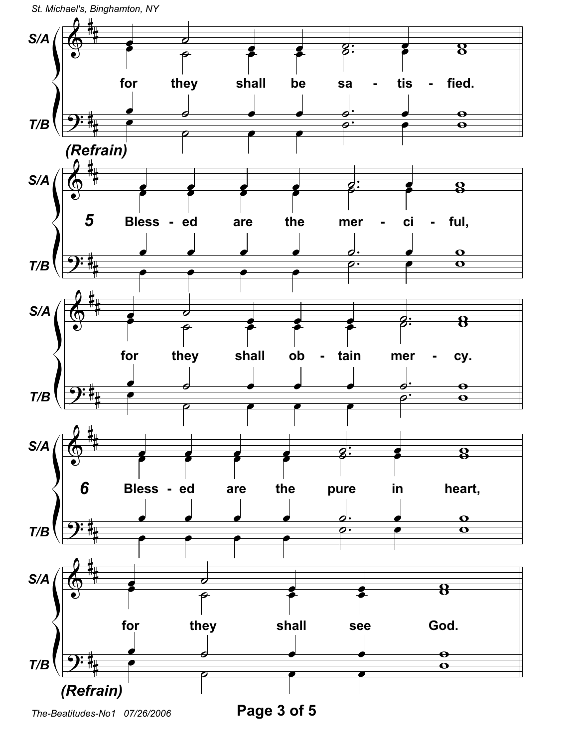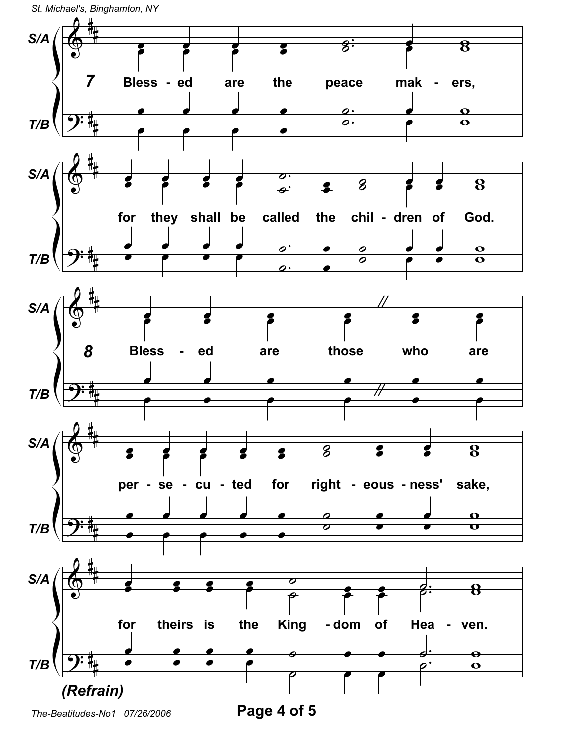